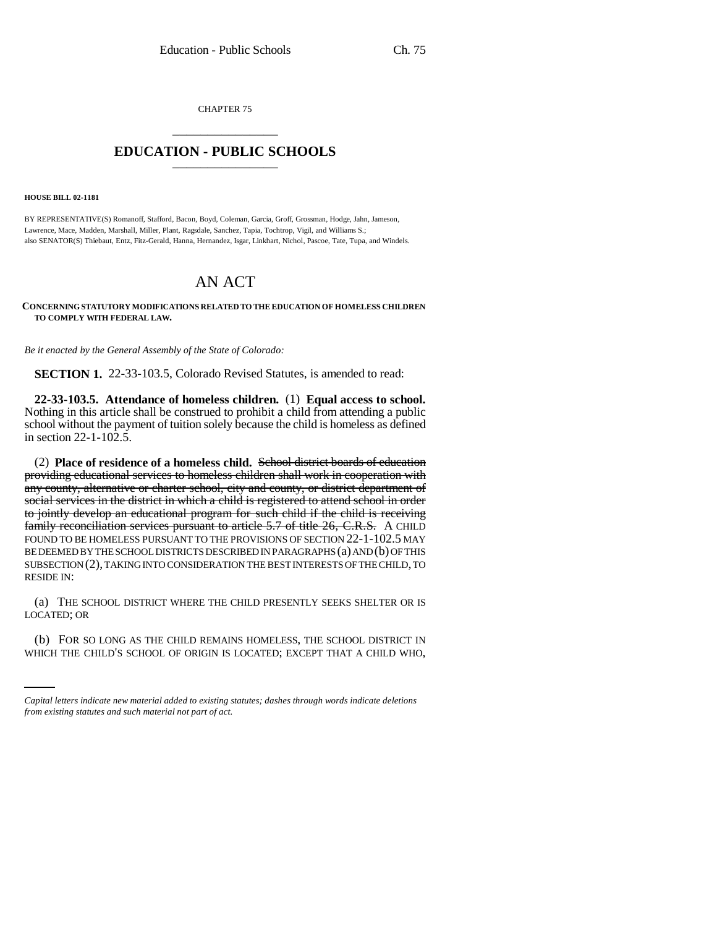CHAPTER 75 \_\_\_\_\_\_\_\_\_\_\_\_\_\_\_

## **EDUCATION - PUBLIC SCHOOLS** \_\_\_\_\_\_\_\_\_\_\_\_\_\_\_

**HOUSE BILL 02-1181**

BY REPRESENTATIVE(S) Romanoff, Stafford, Bacon, Boyd, Coleman, Garcia, Groff, Grossman, Hodge, Jahn, Jameson, Lawrence, Mace, Madden, Marshall, Miller, Plant, Ragsdale, Sanchez, Tapia, Tochtrop, Vigil, and Williams S.; also SENATOR(S) Thiebaut, Entz, Fitz-Gerald, Hanna, Hernandez, Isgar, Linkhart, Nichol, Pascoe, Tate, Tupa, and Windels.

## AN ACT

**CONCERNING STATUTORY MODIFICATIONS RELATED TO THE EDUCATION OF HOMELESS CHILDREN TO COMPLY WITH FEDERAL LAW.**

*Be it enacted by the General Assembly of the State of Colorado:*

**SECTION 1.** 22-33-103.5, Colorado Revised Statutes, is amended to read:

**22-33-103.5. Attendance of homeless children.** (1) **Equal access to school.** Nothing in this article shall be construed to prohibit a child from attending a public school without the payment of tuition solely because the child is homeless as defined in section  $22 - 1 - 102.5$ .

(2) **Place of residence of a homeless child.** School district boards of education providing educational services to homeless children shall work in cooperation with any county, alternative or charter school, city and county, or district department of social services in the district in which a child is registered to attend school in order to jointly develop an educational program for such child if the child is receiving family reconciliation services pursuant to article 5.7 of title 26, C.R.S. A CHILD FOUND TO BE HOMELESS PURSUANT TO THE PROVISIONS OF SECTION 22-1-102.5 MAY BE DEEMED BY THE SCHOOL DISTRICTS DESCRIBED IN PARAGRAPHS (a) AND (b) OF THIS SUBSECTION (2), TAKING INTO CONSIDERATION THE BEST INTERESTS OF THE CHILD, TO RESIDE IN:

(a) THE SCHOOL DISTRICT WHERE THE CHILD PRESENTLY SEEKS SHELTER OR IS LOCATED; OR

(b) FOR SO LONG AS THE CHILD REMAINS HOMELESS, THE SCHOOL DISTRICT IN WHICH THE CHILD'S SCHOOL OF ORIGIN IS LOCATED; EXCEPT THAT A CHILD WHO,

*Capital letters indicate new material added to existing statutes; dashes through words indicate deletions from existing statutes and such material not part of act.*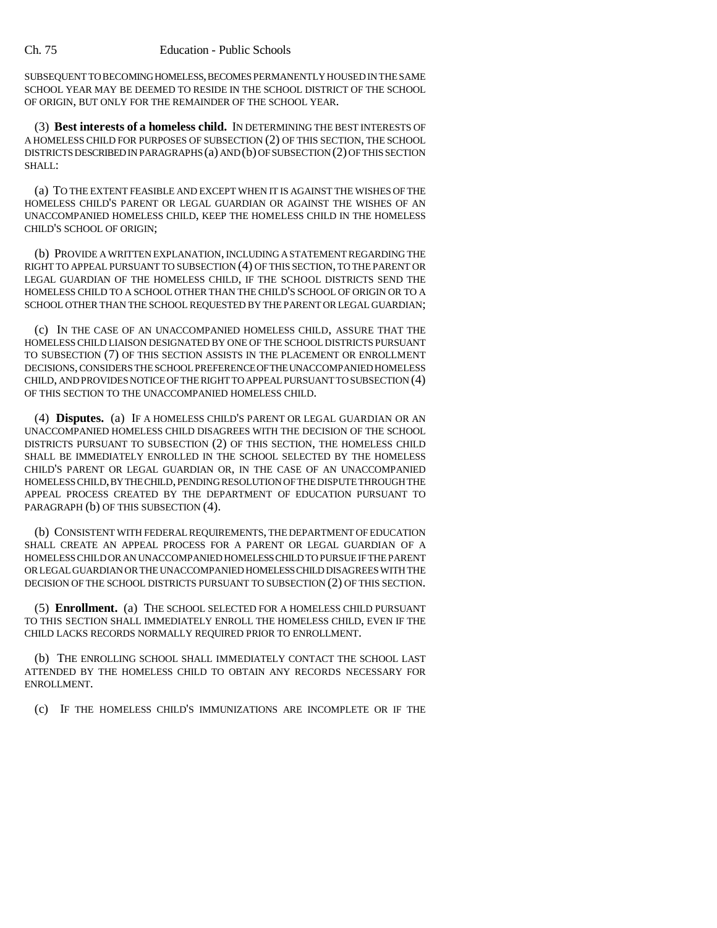SUBSEQUENT TO BECOMING HOMELESS, BECOMES PERMANENTLY HOUSED IN THE SAME SCHOOL YEAR MAY BE DEEMED TO RESIDE IN THE SCHOOL DISTRICT OF THE SCHOOL OF ORIGIN, BUT ONLY FOR THE REMAINDER OF THE SCHOOL YEAR.

(3) **Best interests of a homeless child.** IN DETERMINING THE BEST INTERESTS OF A HOMELESS CHILD FOR PURPOSES OF SUBSECTION (2) OF THIS SECTION, THE SCHOOL DISTRICTS DESCRIBED IN PARAGRAPHS (a) AND (b) OF SUBSECTION (2) OF THIS SECTION SHALL:

(a) TO THE EXTENT FEASIBLE AND EXCEPT WHEN IT IS AGAINST THE WISHES OF THE HOMELESS CHILD'S PARENT OR LEGAL GUARDIAN OR AGAINST THE WISHES OF AN UNACCOMPANIED HOMELESS CHILD, KEEP THE HOMELESS CHILD IN THE HOMELESS CHILD'S SCHOOL OF ORIGIN;

(b) PROVIDE A WRITTEN EXPLANATION, INCLUDING A STATEMENT REGARDING THE RIGHT TO APPEAL PURSUANT TO SUBSECTION (4) OF THIS SECTION, TO THE PARENT OR LEGAL GUARDIAN OF THE HOMELESS CHILD, IF THE SCHOOL DISTRICTS SEND THE HOMELESS CHILD TO A SCHOOL OTHER THAN THE CHILD'S SCHOOL OF ORIGIN OR TO A SCHOOL OTHER THAN THE SCHOOL REQUESTED BY THE PARENT OR LEGAL GUARDIAN;

(c) IN THE CASE OF AN UNACCOMPANIED HOMELESS CHILD, ASSURE THAT THE HOMELESS CHILD LIAISON DESIGNATED BY ONE OF THE SCHOOL DISTRICTS PURSUANT TO SUBSECTION (7) OF THIS SECTION ASSISTS IN THE PLACEMENT OR ENROLLMENT DECISIONS, CONSIDERS THE SCHOOL PREFERENCE OF THE UNACCOMPANIED HOMELESS CHILD, AND PROVIDES NOTICE OF THE RIGHT TO APPEAL PURSUANT TO SUBSECTION (4) OF THIS SECTION TO THE UNACCOMPANIED HOMELESS CHILD.

(4) **Disputes.** (a) IF A HOMELESS CHILD'S PARENT OR LEGAL GUARDIAN OR AN UNACCOMPANIED HOMELESS CHILD DISAGREES WITH THE DECISION OF THE SCHOOL DISTRICTS PURSUANT TO SUBSECTION (2) OF THIS SECTION, THE HOMELESS CHILD SHALL BE IMMEDIATELY ENROLLED IN THE SCHOOL SELECTED BY THE HOMELESS CHILD'S PARENT OR LEGAL GUARDIAN OR, IN THE CASE OF AN UNACCOMPANIED HOMELESS CHILD, BY THE CHILD, PENDING RESOLUTION OF THE DISPUTE THROUGH THE APPEAL PROCESS CREATED BY THE DEPARTMENT OF EDUCATION PURSUANT TO PARAGRAPH (b) OF THIS SUBSECTION (4).

(b) CONSISTENT WITH FEDERAL REQUIREMENTS, THE DEPARTMENT OF EDUCATION SHALL CREATE AN APPEAL PROCESS FOR A PARENT OR LEGAL GUARDIAN OF A HOMELESS CHILD OR AN UNACCOMPANIED HOMELESS CHILD TO PURSUE IF THE PARENT OR LEGAL GUARDIAN OR THE UNACCOMPANIED HOMELESS CHILD DISAGREES WITH THE DECISION OF THE SCHOOL DISTRICTS PURSUANT TO SUBSECTION (2) OF THIS SECTION.

(5) **Enrollment.** (a) THE SCHOOL SELECTED FOR A HOMELESS CHILD PURSUANT TO THIS SECTION SHALL IMMEDIATELY ENROLL THE HOMELESS CHILD, EVEN IF THE CHILD LACKS RECORDS NORMALLY REQUIRED PRIOR TO ENROLLMENT.

(b) THE ENROLLING SCHOOL SHALL IMMEDIATELY CONTACT THE SCHOOL LAST ATTENDED BY THE HOMELESS CHILD TO OBTAIN ANY RECORDS NECESSARY FOR ENROLLMENT.

(c) IF THE HOMELESS CHILD'S IMMUNIZATIONS ARE INCOMPLETE OR IF THE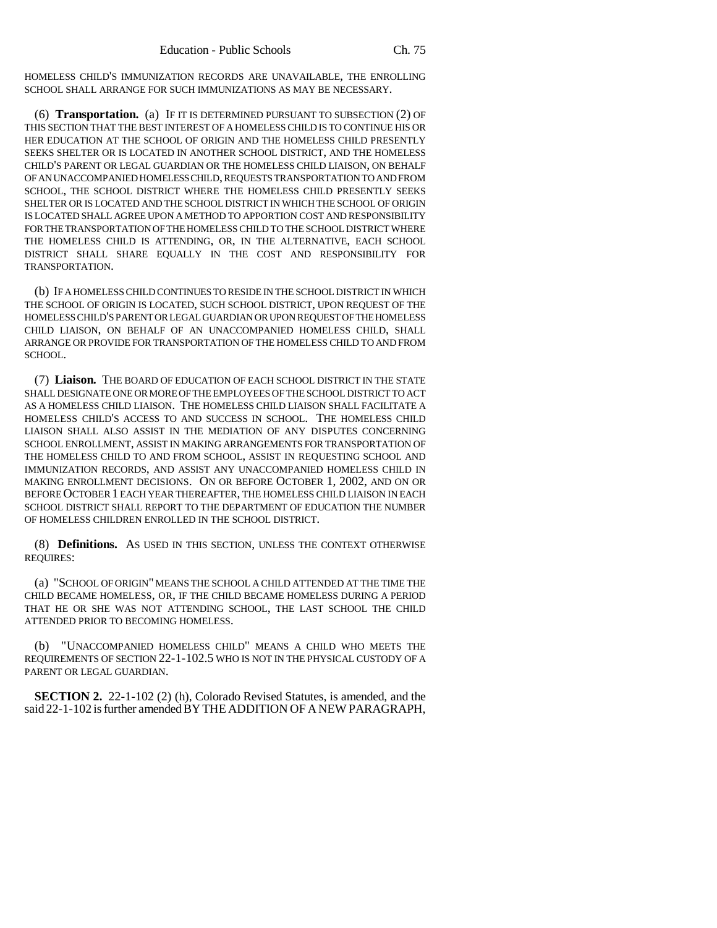HOMELESS CHILD'S IMMUNIZATION RECORDS ARE UNAVAILABLE, THE ENROLLING SCHOOL SHALL ARRANGE FOR SUCH IMMUNIZATIONS AS MAY BE NECESSARY.

(6) **Transportation.** (a) IF IT IS DETERMINED PURSUANT TO SUBSECTION (2) OF THIS SECTION THAT THE BEST INTEREST OF A HOMELESS CHILD IS TO CONTINUE HIS OR HER EDUCATION AT THE SCHOOL OF ORIGIN AND THE HOMELESS CHILD PRESENTLY SEEKS SHELTER OR IS LOCATED IN ANOTHER SCHOOL DISTRICT, AND THE HOMELESS CHILD'S PARENT OR LEGAL GUARDIAN OR THE HOMELESS CHILD LIAISON, ON BEHALF OF AN UNACCOMPANIED HOMELESS CHILD, REQUESTS TRANSPORTATION TO AND FROM SCHOOL, THE SCHOOL DISTRICT WHERE THE HOMELESS CHILD PRESENTLY SEEKS SHELTER OR IS LOCATED AND THE SCHOOL DISTRICT IN WHICH THE SCHOOL OF ORIGIN IS LOCATED SHALL AGREE UPON A METHOD TO APPORTION COST AND RESPONSIBILITY FOR THE TRANSPORTATION OF THE HOMELESS CHILD TO THE SCHOOL DISTRICT WHERE THE HOMELESS CHILD IS ATTENDING, OR, IN THE ALTERNATIVE, EACH SCHOOL DISTRICT SHALL SHARE EQUALLY IN THE COST AND RESPONSIBILITY FOR TRANSPORTATION.

(b) IF A HOMELESS CHILD CONTINUES TO RESIDE IN THE SCHOOL DISTRICT IN WHICH THE SCHOOL OF ORIGIN IS LOCATED, SUCH SCHOOL DISTRICT, UPON REQUEST OF THE HOMELESS CHILD'S PARENT OR LEGAL GUARDIAN OR UPON REQUEST OF THE HOMELESS CHILD LIAISON, ON BEHALF OF AN UNACCOMPANIED HOMELESS CHILD, SHALL ARRANGE OR PROVIDE FOR TRANSPORTATION OF THE HOMELESS CHILD TO AND FROM SCHOOL.

(7) **Liaison.** THE BOARD OF EDUCATION OF EACH SCHOOL DISTRICT IN THE STATE SHALL DESIGNATE ONE OR MORE OF THE EMPLOYEES OF THE SCHOOL DISTRICT TO ACT AS A HOMELESS CHILD LIAISON. THE HOMELESS CHILD LIAISON SHALL FACILITATE A HOMELESS CHILD'S ACCESS TO AND SUCCESS IN SCHOOL. THE HOMELESS CHILD LIAISON SHALL ALSO ASSIST IN THE MEDIATION OF ANY DISPUTES CONCERNING SCHOOL ENROLLMENT, ASSIST IN MAKING ARRANGEMENTS FOR TRANSPORTATION OF THE HOMELESS CHILD TO AND FROM SCHOOL, ASSIST IN REQUESTING SCHOOL AND IMMUNIZATION RECORDS, AND ASSIST ANY UNACCOMPANIED HOMELESS CHILD IN MAKING ENROLLMENT DECISIONS. ON OR BEFORE OCTOBER 1, 2002, AND ON OR BEFORE OCTOBER 1 EACH YEAR THEREAFTER, THE HOMELESS CHILD LIAISON IN EACH SCHOOL DISTRICT SHALL REPORT TO THE DEPARTMENT OF EDUCATION THE NUMBER OF HOMELESS CHILDREN ENROLLED IN THE SCHOOL DISTRICT.

(8) **Definitions.** AS USED IN THIS SECTION, UNLESS THE CONTEXT OTHERWISE REQUIRES:

(a) "SCHOOL OF ORIGIN" MEANS THE SCHOOL A CHILD ATTENDED AT THE TIME THE CHILD BECAME HOMELESS, OR, IF THE CHILD BECAME HOMELESS DURING A PERIOD THAT HE OR SHE WAS NOT ATTENDING SCHOOL, THE LAST SCHOOL THE CHILD ATTENDED PRIOR TO BECOMING HOMELESS.

"UNACCOMPANIED HOMELESS CHILD" MEANS A CHILD WHO MEETS THE REQUIREMENTS OF SECTION 22-1-102.5 WHO IS NOT IN THE PHYSICAL CUSTODY OF A PARENT OR LEGAL GUARDIAN.

**SECTION 2.** 22-1-102 (2) (h), Colorado Revised Statutes, is amended, and the said 22-1-102 is further amended BY THE ADDITION OF A NEW PARAGRAPH,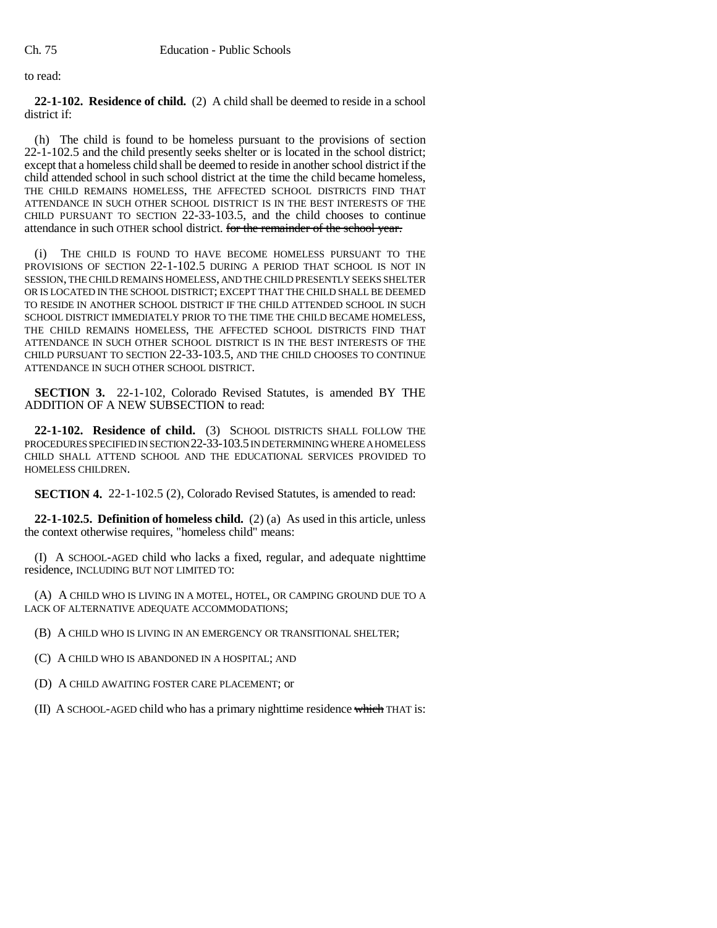to read:

**22-1-102. Residence of child.** (2) A child shall be deemed to reside in a school district if:

(h) The child is found to be homeless pursuant to the provisions of section 22-1-102.5 and the child presently seeks shelter or is located in the school district; except that a homeless child shall be deemed to reside in another school district if the child attended school in such school district at the time the child became homeless, THE CHILD REMAINS HOMELESS, THE AFFECTED SCHOOL DISTRICTS FIND THAT ATTENDANCE IN SUCH OTHER SCHOOL DISTRICT IS IN THE BEST INTERESTS OF THE CHILD PURSUANT TO SECTION 22-33-103.5, and the child chooses to continue attendance in such OTHER school district. for the remainder of the school year.

(i) THE CHILD IS FOUND TO HAVE BECOME HOMELESS PURSUANT TO THE PROVISIONS OF SECTION 22-1-102.5 DURING A PERIOD THAT SCHOOL IS NOT IN SESSION, THE CHILD REMAINS HOMELESS, AND THE CHILD PRESENTLY SEEKS SHELTER OR IS LOCATED IN THE SCHOOL DISTRICT; EXCEPT THAT THE CHILD SHALL BE DEEMED TO RESIDE IN ANOTHER SCHOOL DISTRICT IF THE CHILD ATTENDED SCHOOL IN SUCH SCHOOL DISTRICT IMMEDIATELY PRIOR TO THE TIME THE CHILD BECAME HOMELESS, THE CHILD REMAINS HOMELESS, THE AFFECTED SCHOOL DISTRICTS FIND THAT ATTENDANCE IN SUCH OTHER SCHOOL DISTRICT IS IN THE BEST INTERESTS OF THE CHILD PURSUANT TO SECTION 22-33-103.5, AND THE CHILD CHOOSES TO CONTINUE ATTENDANCE IN SUCH OTHER SCHOOL DISTRICT.

**SECTION 3.** 22-1-102, Colorado Revised Statutes, is amended BY THE ADDITION OF A NEW SUBSECTION to read:

**22-1-102. Residence of child.** (3) SCHOOL DISTRICTS SHALL FOLLOW THE PROCEDURES SPECIFIED IN SECTION 22-33-103.5 IN DETERMINING WHERE A HOMELESS CHILD SHALL ATTEND SCHOOL AND THE EDUCATIONAL SERVICES PROVIDED TO HOMELESS CHILDREN.

**SECTION 4.** 22-1-102.5 (2), Colorado Revised Statutes, is amended to read:

**22-1-102.5. Definition of homeless child.** (2) (a) As used in this article, unless the context otherwise requires, "homeless child" means:

(I) A SCHOOL-AGED child who lacks a fixed, regular, and adequate nighttime residence, INCLUDING BUT NOT LIMITED TO:

(A) A CHILD WHO IS LIVING IN A MOTEL, HOTEL, OR CAMPING GROUND DUE TO A LACK OF ALTERNATIVE ADEQUATE ACCOMMODATIONS;

(B) A CHILD WHO IS LIVING IN AN EMERGENCY OR TRANSITIONAL SHELTER;

(C) A CHILD WHO IS ABANDONED IN A HOSPITAL; AND

(D) A CHILD AWAITING FOSTER CARE PLACEMENT; or

(II) A SCHOOL-AGED child who has a primary nighttime residence which THAT is: